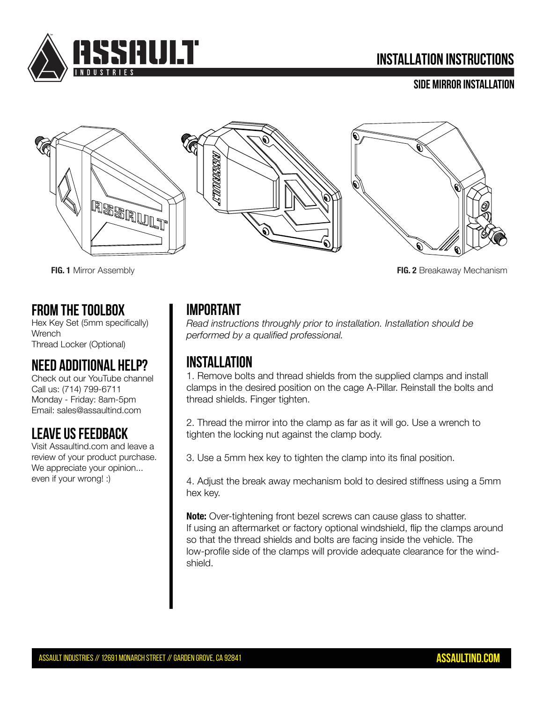

# **INSTALLATION INSTRUCTIONS**

#### **Side Mirror Installation**



**FIG. 1** Mirror Assembly **FIG. 2** Breakaway Mechanism

### **FROM THE TOOLBOX**

Hex Key Set (5mm specifically) **Wrench** Thread Locker (Optional)

# **Need Additional Help?**

Check out our YouTube channel Call us: (714) 799-6711 Monday - Friday: 8am-5pm Email: sales@assaultind.com

# **Leave US FEEDBACK**

Visit Assaultind.com and leave a review of your product purchase. We appreciate your opinion... even if your wrong! :)

# **Important**

*Read instructions throughly prior to installation. Installation should be performed by a qualified professional.*

# **InSTAllation**

1. Remove bolts and thread shields from the supplied clamps and install clamps in the desired position on the cage A-Pillar. Reinstall the bolts and thread shields. Finger tighten.

2. Thread the mirror into the clamp as far as it will go. Use a wrench to tighten the locking nut against the clamp body.

3. Use a 5mm hex key to tighten the clamp into its final position.

4. Adjust the break away mechanism bold to desired stiffness using a 5mm hex key.

**Note:** Over-tightening front bezel screws can cause glass to shatter. If using an aftermarket or factory optional windshield, flip the clamps around so that the thread shields and bolts are facing inside the vehicle. The low-profile side of the clamps will provide adequate clearance for the windshield.